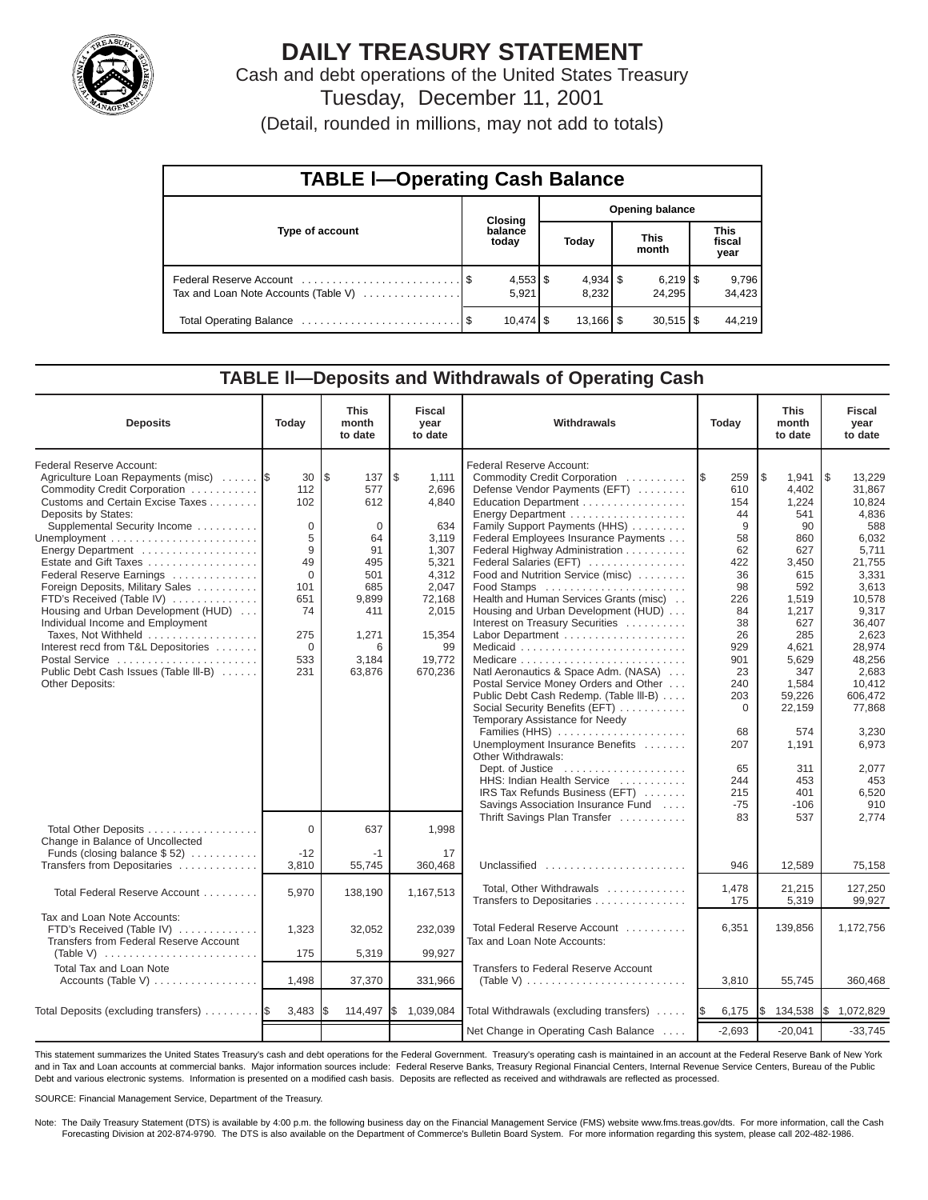

# **DAILY TREASURY STATEMENT**

Cash and debt operations of the United States Treasury Tuesday, December 11, 2001

(Detail, rounded in millions, may not add to totals)

| <b>TABLE I-Operating Cash Balance</b> |                           |                     |  |                        |  |                               |  |                 |  |  |  |
|---------------------------------------|---------------------------|---------------------|--|------------------------|--|-------------------------------|--|-----------------|--|--|--|
|                                       |                           | <b>Closing</b>      |  | <b>Opening balance</b> |  |                               |  |                 |  |  |  |
| Type of account                       | balance<br>Today<br>today |                     |  | <b>This</b><br>month   |  | <b>This</b><br>fiscal<br>year |  |                 |  |  |  |
| Tax and Loan Note Accounts (Table V)  |                           | $4,553$ \$<br>5.921 |  | 8.232                  |  | 24.295                        |  | 9,796<br>34,423 |  |  |  |
|                                       |                           | $10.474$ S          |  | $13,166$ $\frac{1}{3}$ |  | $30,515$ $\frac{8}{3}$        |  | 44.219          |  |  |  |

#### **TABLE ll—Deposits and Withdrawals of Operating Cash**

| <b>Deposits</b>                                                                                                                                                                                                                                                                                                                                                                                                                                                                                                                                             | Today                                                                                                         | <b>This</b><br>month<br>to date                                                                                         | <b>Fiscal</b><br>year<br>to date                                                                                                          | Withdrawals<br>Today                                                                                                                                                                                                                                                                                                                                                                                                                                                                                                                                                                                                                                                                                                                                                                                                                                                                    |                                                                                                                                                                                                 | <b>This</b><br>month<br>to date                                                                                                                                                                                              | <b>Fiscal</b><br>year<br>to date                                                                                                                                                                                                                                         |
|-------------------------------------------------------------------------------------------------------------------------------------------------------------------------------------------------------------------------------------------------------------------------------------------------------------------------------------------------------------------------------------------------------------------------------------------------------------------------------------------------------------------------------------------------------------|---------------------------------------------------------------------------------------------------------------|-------------------------------------------------------------------------------------------------------------------------|-------------------------------------------------------------------------------------------------------------------------------------------|-----------------------------------------------------------------------------------------------------------------------------------------------------------------------------------------------------------------------------------------------------------------------------------------------------------------------------------------------------------------------------------------------------------------------------------------------------------------------------------------------------------------------------------------------------------------------------------------------------------------------------------------------------------------------------------------------------------------------------------------------------------------------------------------------------------------------------------------------------------------------------------------|-------------------------------------------------------------------------------------------------------------------------------------------------------------------------------------------------|------------------------------------------------------------------------------------------------------------------------------------------------------------------------------------------------------------------------------|--------------------------------------------------------------------------------------------------------------------------------------------------------------------------------------------------------------------------------------------------------------------------|
| Federal Reserve Account:<br>Agriculture Loan Repayments (misc)<br>Commodity Credit Corporation<br>Customs and Certain Excise Taxes<br>Deposits by States:<br>Supplemental Security Income<br>Energy Department<br>Estate and Gift Taxes<br>Federal Reserve Earnings<br>Foreign Deposits, Military Sales<br>FTD's Received (Table IV)<br>Housing and Urban Development (HUD)<br>Individual Income and Employment<br>Taxes. Not Withheld<br>Interest recd from T&L Depositories<br>Postal Service<br>Public Debt Cash Issues (Table III-B)<br>Other Deposits: | 30<br>112<br>102<br>$\Omega$<br>5<br>9<br>49<br>$\Omega$<br>101<br>651<br>74<br>275<br>$\Omega$<br>533<br>231 | l \$<br>137<br>577<br>612<br>$\Omega$<br>64<br>91<br>495<br>501<br>685<br>9.899<br>411<br>1,271<br>6<br>3.184<br>63.876 | \$<br>1,111<br>2,696<br>4.840<br>634<br>3.119<br>1.307<br>5.321<br>4,312<br>2,047<br>72,168<br>2,015<br>15,354<br>99<br>19,772<br>670.236 | Federal Reserve Account:<br>Commodity Credit Corporation<br>Defense Vendor Payments (EFT)<br>Education Department<br>Family Support Payments (HHS)<br>Federal Employees Insurance Payments<br>Federal Highway Administration<br>Federal Salaries (EFT)<br>Food and Nutrition Service (misc)<br>Food Stamps<br>Health and Human Services Grants (misc)<br>Housing and Urban Development (HUD)<br>Interest on Treasury Securities<br>Labor Department<br>Natl Aeronautics & Space Adm. (NASA)<br>Postal Service Money Orders and Other<br>Public Debt Cash Redemp. (Table III-B)<br>Social Security Benefits (EFT)<br>Temporary Assistance for Needy<br>Families (HHS)<br>Unemployment Insurance Benefits<br>Other Withdrawals:<br>Dept. of Justice<br>HHS: Indian Health Service<br>IRS Tax Refunds Business (EFT)<br>Savings Association Insurance Fund<br>Thrift Savings Plan Transfer | <b>IS</b><br>259<br>610<br>154<br>44<br>9<br>58<br>62<br>422<br>36<br>98<br>226<br>84<br>38<br>26<br>929<br>901<br>23<br>240<br>203<br>$\Omega$<br>68<br>207<br>65<br>244<br>215<br>$-75$<br>83 | l\$<br>1,941<br>4,402<br>1.224<br>541<br>90<br>860<br>627<br>3.450<br>615<br>592<br>1.519<br>1,217<br>627<br>285<br>4.621<br>5.629<br>347<br>1,584<br>59.226<br>22,159<br>574<br>1,191<br>311<br>453<br>401<br>$-106$<br>537 | $\overline{1s}$<br>13,229<br>31.867<br>10.824<br>4,836<br>588<br>6.032<br>5.711<br>21.755<br>3,331<br>3.613<br>10.578<br>9.317<br>36,407<br>2,623<br>28.974<br>48.256<br>2.683<br>10.412<br>606.472<br>77.868<br>3.230<br>6,973<br>2,077<br>453<br>6,520<br>910<br>2,774 |
| Total Other Deposits<br>Change in Balance of Uncollected<br>Funds (closing balance $$52)$<br>Transfers from Depositaries                                                                                                                                                                                                                                                                                                                                                                                                                                    | $\Omega$<br>$-12$<br>3,810                                                                                    | 637<br>$-1$<br>55,745                                                                                                   | 1,998<br>17<br>360,468                                                                                                                    | Unclassified                                                                                                                                                                                                                                                                                                                                                                                                                                                                                                                                                                                                                                                                                                                                                                                                                                                                            | 946                                                                                                                                                                                             | 12,589                                                                                                                                                                                                                       | 75,158                                                                                                                                                                                                                                                                   |
| Total Federal Reserve Account                                                                                                                                                                                                                                                                                                                                                                                                                                                                                                                               | 5.970                                                                                                         | 138,190                                                                                                                 | 1,167,513                                                                                                                                 | Total, Other Withdrawals<br>Transfers to Depositaries                                                                                                                                                                                                                                                                                                                                                                                                                                                                                                                                                                                                                                                                                                                                                                                                                                   | 1,478<br>175                                                                                                                                                                                    | 21,215<br>5,319                                                                                                                                                                                                              | 127,250<br>99,927                                                                                                                                                                                                                                                        |
| Tax and Loan Note Accounts:<br>FTD's Received (Table IV)<br>Transfers from Federal Reserve Account                                                                                                                                                                                                                                                                                                                                                                                                                                                          | 1.323<br>175                                                                                                  | 32,052<br>5,319                                                                                                         | 232.039<br>99.927                                                                                                                         | Total Federal Reserve Account<br>Tax and Loan Note Accounts:                                                                                                                                                                                                                                                                                                                                                                                                                                                                                                                                                                                                                                                                                                                                                                                                                            | 6,351                                                                                                                                                                                           | 139,856                                                                                                                                                                                                                      | 1,172,756                                                                                                                                                                                                                                                                |
| <b>Total Tax and Loan Note</b><br>Accounts (Table V)                                                                                                                                                                                                                                                                                                                                                                                                                                                                                                        | 1,498                                                                                                         | 37,370                                                                                                                  | 331,966                                                                                                                                   | Transfers to Federal Reserve Account<br>(Table V) $\ldots \ldots \ldots \ldots \ldots \ldots \ldots \ldots$                                                                                                                                                                                                                                                                                                                                                                                                                                                                                                                                                                                                                                                                                                                                                                             | 3,810                                                                                                                                                                                           | 55,745                                                                                                                                                                                                                       | 360,468                                                                                                                                                                                                                                                                  |
| Total Deposits (excluding transfers)                                                                                                                                                                                                                                                                                                                                                                                                                                                                                                                        | 3,483                                                                                                         | 114,497                                                                                                                 | Ι\$<br>1,039,084                                                                                                                          | Total Withdrawals (excluding transfers)                                                                                                                                                                                                                                                                                                                                                                                                                                                                                                                                                                                                                                                                                                                                                                                                                                                 | 6,175<br><b>1\$</b>                                                                                                                                                                             | \$<br>134,538                                                                                                                                                                                                                | \$1,072,829                                                                                                                                                                                                                                                              |
|                                                                                                                                                                                                                                                                                                                                                                                                                                                                                                                                                             |                                                                                                               |                                                                                                                         |                                                                                                                                           | Net Change in Operating Cash Balance                                                                                                                                                                                                                                                                                                                                                                                                                                                                                                                                                                                                                                                                                                                                                                                                                                                    | $-2,693$                                                                                                                                                                                        | $-20,041$                                                                                                                                                                                                                    | $-33,745$                                                                                                                                                                                                                                                                |

This statement summarizes the United States Treasury's cash and debt operations for the Federal Government. Treasury's operating cash is maintained in an account at the Federal Reserve Bank of New York and in Tax and Loan accounts at commercial banks. Major information sources include: Federal Reserve Banks, Treasury Regional Financial Centers, Internal Revenue Service Centers, Bureau of the Public Debt and various electronic systems. Information is presented on a modified cash basis. Deposits are reflected as received and withdrawals are reflected as processed.

SOURCE: Financial Management Service, Department of the Treasury.

Note: The Daily Treasury Statement (DTS) is available by 4:00 p.m. the following business day on the Financial Management Service (FMS) website www.fms.treas.gov/dts. For more information, call the Cash Forecasting Division at 202-874-9790. The DTS is also available on the Department of Commerce's Bulletin Board System. For more information regarding this system, please call 202-482-1986.